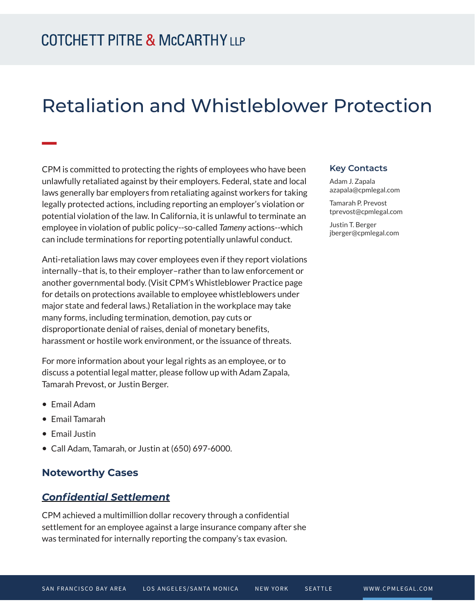# Retaliation and Whistleblower Protection

CPM is committed to protecting the rights of employees who have been unlawfully retaliated against by their employers. Federal, state and local laws generally bar employers from retaliating against workers for taking legally protected actions, including reporting an employer's violation or potential violation of the law. In California, it is unlawful to terminate an employee in violation of public policy--so-called *Tameny* actions--which can include terminations for reporting potentially unlawful conduct.

Anti-retaliation laws may cover employees even if they report violations internally–that is, to their employer–rather than to law enforcement or another governmental body. (Visit CPM's Whistleblower Practice page for details on protections available to employee whistleblowers under major state and federal laws.) Retaliation in the workplace may take many forms, including termination, demotion, pay cuts or disproportionate denial of raises, denial of monetary benefits, harassment or hostile work environment, or the issuance of threats.

For more information about your legal rights as an employee, or to discuss a potential legal matter, please follow up with Adam Zapala, Tamarah Prevost, or Justin Berger.

● Email Adam

**William** 

- Email Tamarah
- Email Justin
- Call Adam, Tamarah, or Justin at (650) 697-6000.

#### **Noteworthy Cases**

#### *Confidential Settlement*

CPM achieved a multimillion dollar recovery through a confidential settlement for an employee against a large insurance company after she was terminated for internally reporting the company's tax evasion.

#### **Key Contacts**

Adam J. Zapala azapala@cpmlegal.com

Tamarah P. Prevost tprevost@cpmlegal.com

Justin T. Berger jberger@cpmlegal.com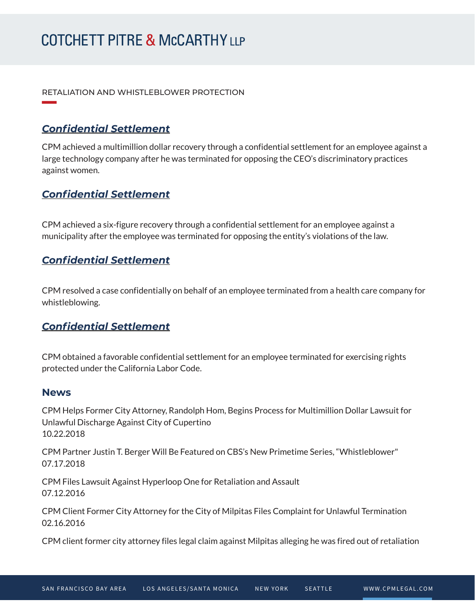# **COTCHETT PITRE & McCARTHY LLP**

RETALIATION AND WHISTLEBLOWER PROTECTION

### *Confidential Settlement*

**William Company** 

CPM achieved a multimillion dollar recovery through a confidential settlement for an employee against a large technology company after he was terminated for opposing the CEO's discriminatory practices against women.

### *Confidential Settlement*

CPM achieved a six-figure recovery through a confidential settlement for an employee against a municipality after the employee was terminated for opposing the entity's violations of the law.

### *Confidential Settlement*

CPM resolved a case confidentially on behalf of an employee terminated from a health care company for whistleblowing.

#### *Confidential Settlement*

CPM obtained a favorable confidential settlement for an employee terminated for exercising rights protected under the California Labor Code.

#### **News**

CPM Helps Former City Attorney, Randolph Hom, Begins Process for Multimillion Dollar Lawsuit for Unlawful Discharge Against City of Cupertino 10.22.2018

CPM Partner Justin T. Berger Will Be Featured on CBS's New Primetime Series, "Whistleblower" 07.17.2018

CPM Files Lawsuit Against Hyperloop One for Retaliation and Assault 07.12.2016

CPM Client Former City Attorney for the City of Milpitas Files Complaint for Unlawful Termination 02.16.2016

CPM client former city attorney files legal claim against Milpitas alleging he was fired out of retaliation